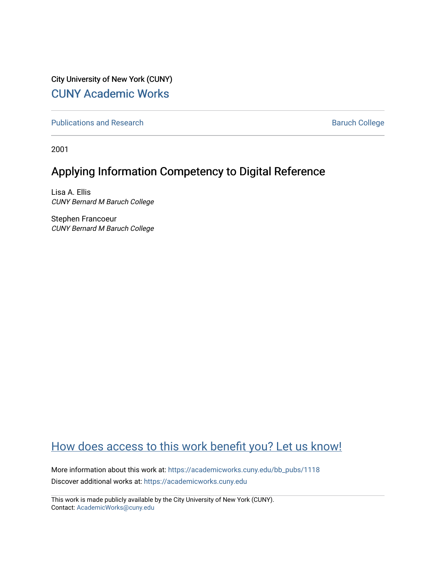City University of New York (CUNY) [CUNY Academic Works](https://academicworks.cuny.edu/) 

[Publications and Research](https://academicworks.cuny.edu/bb_pubs) **Baruch College** Baruch College

2001

# Applying Information Competency to Digital Reference

Lisa A. Ellis CUNY Bernard M Baruch College

Stephen Francoeur CUNY Bernard M Baruch College

# [How does access to this work benefit you? Let us know!](http://ols.cuny.edu/academicworks/?ref=https://academicworks.cuny.edu/bb_pubs/1118)

More information about this work at: [https://academicworks.cuny.edu/bb\\_pubs/1118](https://academicworks.cuny.edu/bb_pubs/1118) Discover additional works at: [https://academicworks.cuny.edu](https://academicworks.cuny.edu/?)

This work is made publicly available by the City University of New York (CUNY). Contact: [AcademicWorks@cuny.edu](mailto:AcademicWorks@cuny.edu)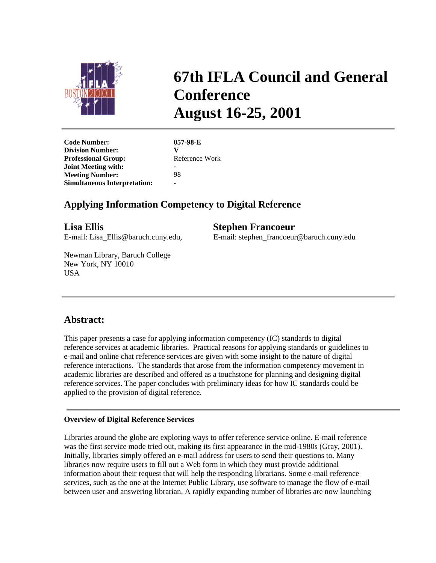

# **67th IFLA Council and General Conference August 16-25, 2001**

**Code Number: 057-98-E Division Number:** V<br> **Professional Group:** Reference Work **Professional Group: Joint Meeting with:** - **Meeting Number:** 98 **Simultaneous Interpretation: -**

## **Applying Information Competency to Digital Reference**

**Lisa Ellis Stephen Francoeur**

E-mail: Lisa\_Ellis@baruch.cuny.edu, E-mail: stephen\_francoeur@baruch.cuny.edu

Newman Library, Baruch College New York, NY 10010 **USA** 

### **Abstract:**

This paper presents a case for applying information competency (IC) standards to digital reference services at academic libraries. Practical reasons for applying standards or guidelines to e-mail and online chat reference services are given with some insight to the nature of digital reference interactions. The standards that arose from the information competency movement in academic libraries are described and offered as a touchstone for planning and designing digital reference services. The paper concludes with preliminary ideas for how IC standards could be applied to the provision of digital reference.

#### **Overview of Digital Reference Services**

Libraries around the globe are exploring ways to offer reference service online. E-mail reference was the first service mode tried out, making its first appearance in the mid-1980s (Gray, 2001). Initially, libraries simply offered an e-mail address for users to send their questions to. Many libraries now require users to fill out a Web form in which they must provide additional information about their request that will help the responding librarians. Some e-mail reference services, such as the one at the Internet Public Library, use software to manage the flow of e-mail between user and answering librarian. A rapidly expanding number of libraries are now launching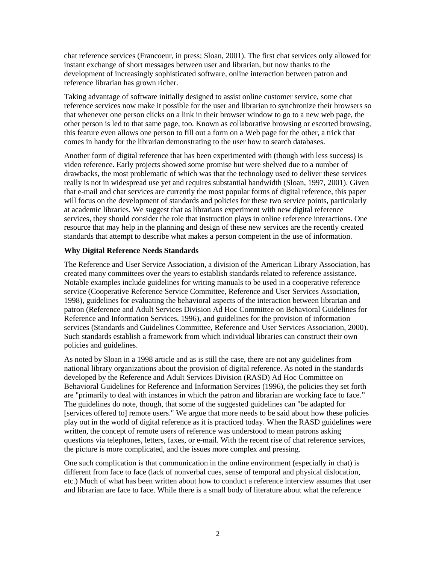chat reference services (Francoeur, in press; Sloan, 2001). The first chat services only allowed for instant exchange of short messages between user and librarian, but now thanks to the development of increasingly sophisticated software, online interaction between patron and reference librarian has grown richer.

Taking advantage of software initially designed to assist online customer service, some chat reference services now make it possible for the user and librarian to synchronize their browsers so that whenever one person clicks on a link in their browser window to go to a new web page, the other person is led to that same page, too. Known as collaborative browsing or escorted browsing, this feature even allows one person to fill out a form on a Web page for the other, a trick that comes in handy for the librarian demonstrating to the user how to search databases.

Another form of digital reference that has been experimented with (though with less success) is video reference. Early projects showed some promise but were shelved due to a number of drawbacks, the most problematic of which was that the technology used to deliver these services really is not in widespread use yet and requires substantial bandwidth (Sloan, 1997, 2001). Given that e-mail and chat services are currently the most popular forms of digital reference, this paper will focus on the development of standards and policies for these two service points, particularly at academic libraries. We suggest that as librarians experiment with new digital reference services, they should consider the role that instruction plays in online reference interactions. One resource that may help in the planning and design of these new services are the recently created standards that attempt to describe what makes a person competent in the use of information.

#### **Why Digital Reference Needs Standards**

The Reference and User Service Association, a division of the American Library Association, has created many committees over the years to establish standards related to reference assistance. Notable examples include guidelines for writing manuals to be used in a cooperative reference service (Cooperative Reference Service Committee, Reference and User Services Association, 1998), guidelines for evaluating the behavioral aspects of the interaction between librarian and patron (Reference and Adult Services Division Ad Hoc Committee on Behavioral Guidelines for Reference and Information Services, 1996), and guidelines for the provision of information services (Standards and Guidelines Committee, Reference and User Services Association, 2000). Such standards establish a framework from which individual libraries can construct their own policies and guidelines.

As noted by Sloan in a 1998 article and as is still the case, there are not any guidelines from national library organizations about the provision of digital reference. As noted in the standards developed by the Reference and Adult Services Division (RASD) Ad Hoc Committee on Behavioral Guidelines for Reference and Information Services (1996), the policies they set forth are "primarily to deal with instances in which the patron and librarian are working face to face." The guidelines do note, though, that some of the suggested guidelines can "be adapted for [services offered to] remote users." We argue that more needs to be said about how these policies play out in the world of digital reference as it is practiced today. When the RASD guidelines were written, the concept of remote users of reference was understood to mean patrons asking questions via telephones, letters, faxes, or e-mail. With the recent rise of chat reference services, the picture is more complicated, and the issues more complex and pressing.

One such complication is that communication in the online environment (especially in chat) is different from face to face (lack of nonverbal cues, sense of temporal and physical dislocation, etc.) Much of what has been written about how to conduct a reference interview assumes that user and librarian are face to face. While there is a small body of literature about what the reference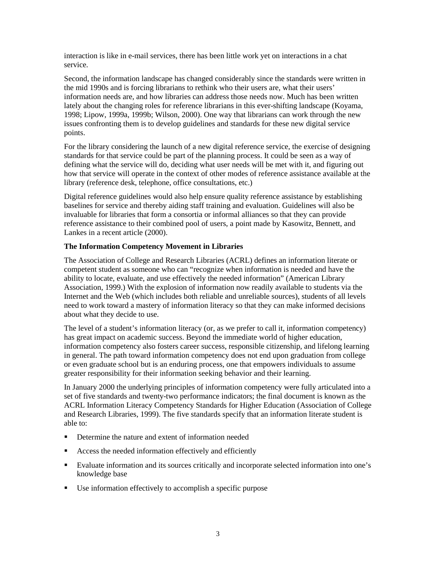interaction is like in e-mail services, there has been little work yet on interactions in a chat service.

Second, the information landscape has changed considerably since the standards were written in the mid 1990s and is forcing librarians to rethink who their users are, what their users' information needs are, and how libraries can address those needs now. Much has been written lately about the changing roles for reference librarians in this ever-shifting landscape (Koyama, 1998; Lipow, 1999a, 1999b; Wilson, 2000). One way that librarians can work through the new issues confronting them is to develop guidelines and standards for these new digital service points.

For the library considering the launch of a new digital reference service, the exercise of designing standards for that service could be part of the planning process. It could be seen as a way of defining what the service will do, deciding what user needs will be met with it, and figuring out how that service will operate in the context of other modes of reference assistance available at the library (reference desk, telephone, office consultations, etc.)

Digital reference guidelines would also help ensure quality reference assistance by establishing baselines for service and thereby aiding staff training and evaluation. Guidelines will also be invaluable for libraries that form a consortia or informal alliances so that they can provide reference assistance to their combined pool of users, a point made by Kasowitz, Bennett, and Lankes in a recent article (2000).

#### **The Information Competency Movement in Libraries**

The Association of College and Research Libraries (ACRL) defines an information literate or competent student as someone who can "recognize when information is needed and have the ability to locate, evaluate, and use effectively the needed information" (American Library Association, 1999.) With the explosion of information now readily available to students via the Internet and the Web (which includes both reliable and unreliable sources), students of all levels need to work toward a mastery of information literacy so that they can make informed decisions about what they decide to use.

The level of a student's information literacy (or, as we prefer to call it, information competency) has great impact on academic success. Beyond the immediate world of higher education, information competency also fosters career success, responsible citizenship, and lifelong learning in general. The path toward information competency does not end upon graduation from college or even graduate school but is an enduring process, one that empowers individuals to assume greater responsibility for their information seeking behavior and their learning.

In January 2000 the underlying principles of information competency were fully articulated into a set of five standards and twenty-two performance indicators; the final document is known as the ACRL Information Literacy Competency Standards for Higher Education (Association of College and Research Libraries, 1999). The five standards specify that an information literate student is able to:

- Determine the nature and extent of information needed
- Access the needed information effectively and efficiently
- Evaluate information and its sources critically and incorporate selected information into one's knowledge base
- Use information effectively to accomplish a specific purpose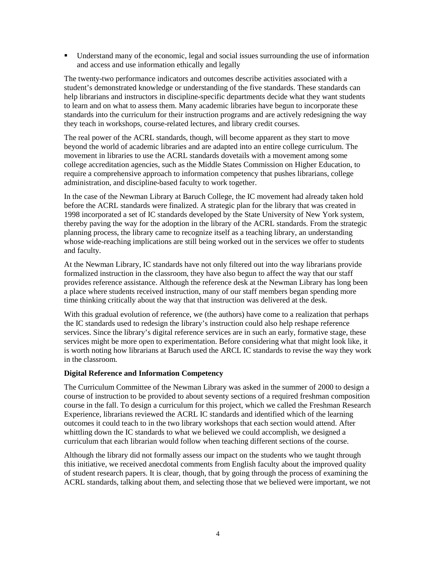Understand many of the economic, legal and social issues surrounding the use of information and access and use information ethically and legally

The twenty-two performance indicators and outcomes describe activities associated with a student's demonstrated knowledge or understanding of the five standards. These standards can help librarians and instructors in discipline-specific departments decide what they want students to learn and on what to assess them. Many academic libraries have begun to incorporate these standards into the curriculum for their instruction programs and are actively redesigning the way they teach in workshops, course-related lectures, and library credit courses.

The real power of the ACRL standards, though, will become apparent as they start to move beyond the world of academic libraries and are adapted into an entire college curriculum. The movement in libraries to use the ACRL standards dovetails with a movement among some college accreditation agencies, such as the Middle States Commission on Higher Education, to require a comprehensive approach to information competency that pushes librarians, college administration, and discipline-based faculty to work together.

In the case of the Newman Library at Baruch College, the IC movement had already taken hold before the ACRL standards were finalized. A strategic plan for the library that was created in 1998 incorporated a set of IC standards developed by the State University of New York system, thereby paving the way for the adoption in the library of the ACRL standards. From the strategic planning process, the library came to recognize itself as a teaching library, an understanding whose wide-reaching implications are still being worked out in the services we offer to students and faculty.

At the Newman Library, IC standards have not only filtered out into the way librarians provide formalized instruction in the classroom, they have also begun to affect the way that our staff provides reference assistance. Although the reference desk at the Newman Library has long been a place where students received instruction, many of our staff members began spending more time thinking critically about the way that that instruction was delivered at the desk.

With this gradual evolution of reference, we (the authors) have come to a realization that perhaps the IC standards used to redesign the library's instruction could also help reshape reference services. Since the library's digital reference services are in such an early, formative stage, these services might be more open to experimentation. Before considering what that might look like, it is worth noting how librarians at Baruch used the ARCL IC standards to revise the way they work in the classroom.

#### **Digital Reference and Information Competency**

The Curriculum Committee of the Newman Library was asked in the summer of 2000 to design a course of instruction to be provided to about seventy sections of a required freshman composition course in the fall. To design a curriculum for this project, which we called the Freshman Research Experience, librarians reviewed the ACRL IC standards and identified which of the learning outcomes it could teach to in the two library workshops that each section would attend. After whittling down the IC standards to what we believed we could accomplish, we designed a curriculum that each librarian would follow when teaching different sections of the course.

Although the library did not formally assess our impact on the students who we taught through this initiative, we received anecdotal comments from English faculty about the improved quality of student research papers. It is clear, though, that by going through the process of examining the ACRL standards, talking about them, and selecting those that we believed were important, we not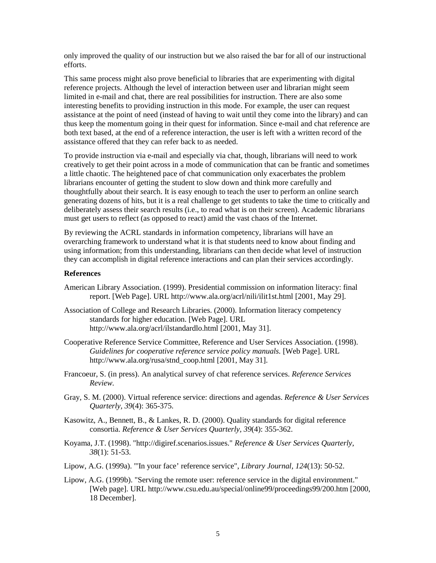only improved the quality of our instruction but we also raised the bar for all of our instructional efforts.

This same process might also prove beneficial to libraries that are experimenting with digital reference projects. Although the level of interaction between user and librarian might seem limited in e-mail and chat, there are real possibilities for instruction. There are also some interesting benefits to providing instruction in this mode. For example, the user can request assistance at the point of need (instead of having to wait until they come into the library) and can thus keep the momentum going in their quest for information. Since e-mail and chat reference are both text based, at the end of a reference interaction, the user is left with a written record of the assistance offered that they can refer back to as needed.

To provide instruction via e-mail and especially via chat, though, librarians will need to work creatively to get their point across in a mode of communication that can be frantic and sometimes a little chaotic. The heightened pace of chat communication only exacerbates the problem librarians encounter of getting the student to slow down and think more carefully and thoughtfully about their search. It is easy enough to teach the user to perform an online search generating dozens of hits, but it is a real challenge to get students to take the time to critically and deliberately assess their search results (i.e., to read what is on their screen). Academic librarians must get users to reflect (as opposed to react) amid the vast chaos of the Internet.

By reviewing the ACRL standards in information competency, librarians will have an overarching framework to understand what it is that students need to know about finding and using information; from this understanding, librarians can then decide what level of instruction they can accomplish in digital reference interactions and can plan their services accordingly.

#### **References**

- American Library Association. (1999). Presidential commission on information literacy: final report. [Web Page]. URL http://www.ala.org/acrl/nili/ilit1st.html [2001, May 29].
- Association of College and Research Libraries. (2000). Information literacy competency standards for higher education. [Web Page]. URL http://www.ala.org/acrl/ilstandardlo.html [2001, May 31].
- Cooperative Reference Service Committee, Reference and User Services Association. (1998). *Guidelines for cooperative reference service policy manuals.* [Web Page]. URL http://www.ala.org/rusa/stnd\_coop.html [2001, May 31].
- Francoeur, S. (in press). An analytical survey of chat reference services. *Reference Services Review.*
- Gray, S. M. (2000). Virtual reference service: directions and agendas. *Reference & User Services Quarterly, 39*(4): 365-375.
- Kasowitz, A., Bennett, B., & Lankes, R. D. (2000). Quality standards for digital reference consortia. *Reference & User Services Quarterly, 39*(4): 355-362.
- Koyama, J.T. (1998). "http://digiref.scenarios.issues." *Reference & User Services Quarterly, 38*(1): 51-53.
- Lipow, A.G. (1999a). "'In your face' reference service", *Library Journal, 124*(13): 50-52.
- Lipow, A.G. (1999b). "Serving the remote user: reference service in the digital environment." [Web page]. URL http://www.csu.edu.au/special/online99/proceedings99/200.htm [2000, 18 December].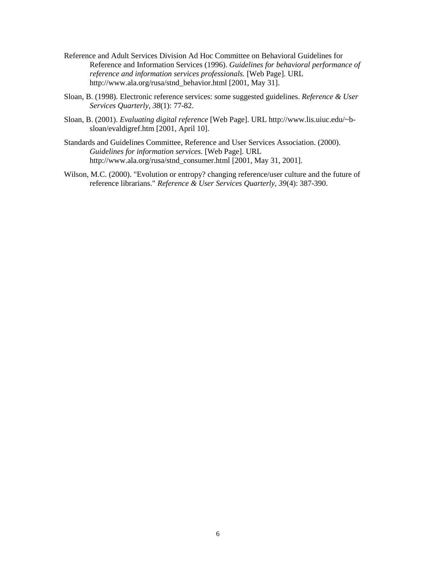- Reference and Adult Services Division Ad Hoc Committee on Behavioral Guidelines for Reference and Information Services (1996). *Guidelines for behavioral performance of reference and information services professionals.* [Web Page]. URL http://www.ala.org/rusa/stnd\_behavior.html [2001, May 31].
- Sloan, B. (1998). Electronic reference services: some suggested guidelines. *Reference & User Services Quarterly, 38*(1): 77-82.
- Sloan, B. (2001). *Evaluating digital reference* [Web Page]. URL http://www.lis.uiuc.edu/~bsloan/evaldigref.htm [2001, April 10].
- Standards and Guidelines Committee, Reference and User Services Association. (2000). *Guidelines for information services.* [Web Page]. URL http://www.ala.org/rusa/stnd\_consumer.html [2001, May 31, 2001].
- Wilson, M.C. (2000). "Evolution or entropy? changing reference/user culture and the future of reference librarians." *Reference & User Services Quarterly, 39*(4): 387-390.